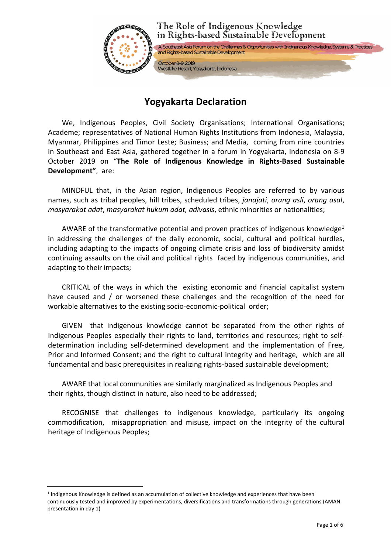

# **Yogyakarta Declaration**

We, Indigenous Peoples, Civil Society Organisations; International Organisations; Academe; representatives of National Human Rights Institutions from Indonesia, Malaysia, Myanmar, Philippines and Timor Leste; Business; and Media, coming from nine countries in Southeast and East Asia, gathered together in a forum in Yogyakarta, Indonesia on 8-9 October 2019 on "**The Role of Indigenous Knowledge in Rights-Based Sustainable Development"**, are:

MINDFUL that, in the Asian region, Indigenous Peoples are referred to by various names, such as tribal peoples, hill tribes, scheduled tribes, *janajati*, *orang asli*, *orang asal*, *masyarakat adat*, *masyarakat hukum adat, adivasis*, ethnic minorities or nationalities;

AWARE of the transformative potential and proven practices of indigenous knowledge<sup>[1](#page-0-0)</sup> in addressing the challenges of the daily economic, social, cultural and political hurdles, including adapting to the impacts of ongoing climate crisis and loss of biodiversity amidst continuing assaults on the civil and political rights faced by indigenous communities, and adapting to their impacts;

CRITICAL of the ways in which the existing economic and financial capitalist system have caused and / or worsened these challenges and the recognition of the need for workable alternatives to the existing socio-economic-political order;

GIVEN that indigenous knowledge cannot be separated from the other rights of Indigenous Peoples especially their rights to land, territories and resources; right to selfdetermination including self-determined development and the implementation of Free, Prior and Informed Consent; and the right to cultural integrity and heritage, which are all fundamental and basic prerequisites in realizing rights-based sustainable development;

AWARE that local communities are similarly marginalized as Indigenous Peoples and their rights, though distinct in nature, also need to be addressed;

RECOGNISE that challenges to indigenous knowledge, particularly its ongoing commodification, misappropriation and misuse, impact on the integrity of the cultural heritage of Indigenous Peoples;

<span id="page-0-0"></span><sup>1</sup> Indigenous Knowledge is defined as an accumulation of collective knowledge and experiences that have been continuously tested and improved by experimentations, diversifications and transformations through generations (AMAN presentation in day 1)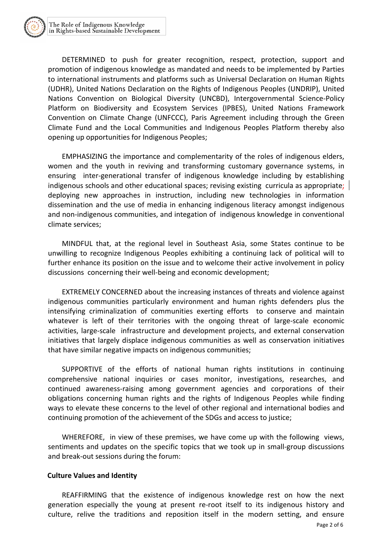DETERMINED to push for greater recognition, respect, protection, support and promotion of indigenous knowledge as mandated and needs to be implemented by Parties to international instruments and platforms such as Universal Declaration on Human Rights (UDHR), United Nations Declaration on the Rights of Indigenous Peoples (UNDRIP), United Nations Convention on Biological Diversity (UNCBD), Intergovernmental Science-Policy Platform on Biodiversity and Ecosystem Services (IPBES), United Nations Framework Convention on Climate Change (UNFCCC), Paris Agreement including through the Green Climate Fund and the Local Communities and Indigenous Peoples Platform thereby also opening up opportunities for Indigenous Peoples;

EMPHASIZING the importance and complementarity of the roles of indigenous elders, women and the youth in reviving and transforming customary governance systems, in ensuring inter-generational transfer of indigenous knowledge including by establishing indigenous schools and other educational spaces; revising existing curricula as appropriate; deploying new approaches in instruction, including new technologies in information dissemination and the use of media in enhancing indigenous literacy amongst indigenous and non-indigenous communities, and integation of indigenous knowledge in conventional climate services;

MINDFUL that, at the regional level in Southeast Asia, some States continue to be unwilling to recognize Indigenous Peoples exhibiting a continuing lack of political will to further enhance its position on the issue and to welcome their active involvement in policy discussions concerning their well-being and economic development;

EXTREMELY CONCERNED about the increasing instances of threats and violence against indigenous communities particularly environment and human rights defenders plus the intensifying criminalization of communities exerting efforts to conserve and maintain whatever is left of their territories with the ongoing threat of large-scale economic activities, large-scale infrastructure and development projects, and external conservation initiatives that largely displace indigenous communities as well as conservation initiatives that have similar negative impacts on indigenous communities;

SUPPORTIVE of the efforts of national human rights institutions in continuing comprehensive national inquiries or cases monitor, investigations, researches, and continued awareness-raising among government agencies and corporations of their obligations concerning human rights and the rights of Indigenous Peoples while finding ways to elevate these concerns to the level of other regional and international bodies and continuing promotion of the achievement of the SDGs and access to justice;

WHEREFORE, in view of these premises, we have come up with the following views, sentiments and updates on the specific topics that we took up in small-group discussions and break-out sessions during the forum:

#### **Culture Values and Identity**

REAFFIRMING that the existence of indigenous knowledge rest on how the next generation especially the young at present re-root itself to its indigenous history and culture, relive the traditions and reposition itself in the modern setting, and ensure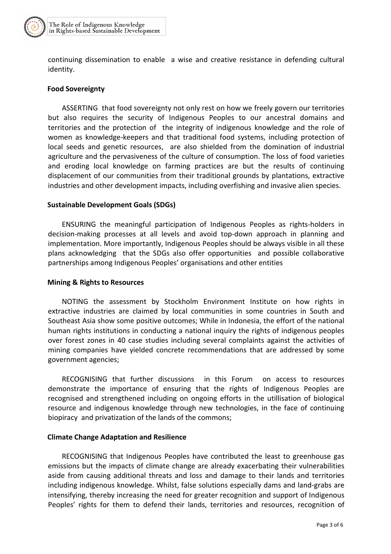

continuing dissemination to enable a wise and creative resistance in defending cultural identity.

#### **Food Sovereignty**

ASSERTING that food sovereignty not only rest on how we freely govern our territories but also requires the security of Indigenous Peoples to our ancestral domains and territories and the protection of the integrity of indigenous knowledge and the role of women as knowledge-keepers and that traditional food systems, including protection of local seeds and genetic resources, are also shielded from the domination of industrial agriculture and the pervasiveness of the culture of consumption. The loss of food varieties and eroding local knowledge on farming practices are but the results of continuing displacement of our communities from their traditional grounds by plantations, extractive industries and other development impacts, including overfishing and invasive alien species.

#### **Sustainable Development Goals (SDGs)**

ENSURING the meaningful participation of Indigenous Peoples as rights-holders in decision-making processes at all levels and avoid top-down approach in planning and implementation. More importantly, Indigenous Peoples should be always visible in all these plans acknowledging that the SDGs also offer opportunities and possible collaborative partnerships among Indigenous Peoples' organisations and other entities

#### **Mining & Rights to Resources**

NOTING the assessment by Stockholm Environment Institute on how rights in extractive industries are claimed by local communities in some countries in South and Southeast Asia show some positive outcomes; While in Indonesia, the effort of the national human rights institutions in conducting a national inquiry the rights of indigenous peoples over forest zones in 40 case studies including several complaints against the activities of mining companies have yielded concrete recommendations that are addressed bysome government agencies;

RECOGNISING that further discussions in this Forum on access to resources demonstrate the importance of ensuring that the rights of Indigenous Peoples are recognised and strengthened including on ongoing efforts in the utillisation of biological resource and indigenous knowledge through new technologies, in the face of continuing biopiracy and privatization of the lands of the commons;

#### **Climate Change Adaptation and Resilience**

RECOGNISING that Indigenous Peoples have contributed the least to greenhouse gas emissions but the impacts of climate change are already exacerbating their vulnerabilities aside from causing additional threats and loss and damage to their lands and territories including indigenous knowledge. Whilst, false solutions especially dams and land-grabs are intensifying, thereby increasing the need for greater recognition and support of Indigenous Peoples' rights for them to defend their lands, territories and resources, recognition of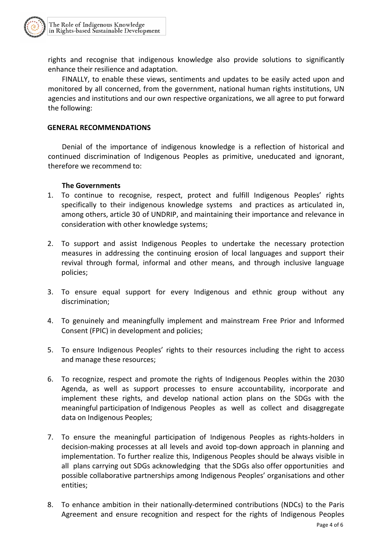rights and recognise that indigenous knowledge also provide solutions to significantly enhance their resilience and adaptation.

FINALLY, to enable these views, sentiments and updates to be easily acted upon and monitored by all concerned, from the government, national human rights institutions, UN agencies and institutions and our own respective organizations, we all agree to put forward the following:

# **GENERAL RECOMMENDATIONS**

Denial of the importance of indigenous knowledge is a reflection of historical and continued discrimination of Indigenous Peoples as primitive, uneducated and ignorant, therefore we recommend to:

# **The Governments**

- 1. To continue to recognise, respect, protect and fulfill Indigenous Peoples' rights specifically to their indigenous knowledge systems and practices as articulated in, among others, article 30 of UNDRIP, and maintaining their importance and relevance in consideration with other knowledge systems;
- 2. To support and assist Indigenous Peoples to undertake the necessary protection measures in addressing the continuing erosion of local languages and support their revival through formal, informal and other means, and through inclusive language policies;
- 3. To ensure equal support for every Indigenous and ethnic group without any discrimination;
- 4. To genuinely and meaningfully implement and mainstream Free Prior and Informed Consent (FPIC) in development and policies;
- 5. To ensure Indigenous Peoples' rights to their resources including the right to access and manage these resources;
- 6. To recognize, respect and promote the rights of Indigenous Peoples within the 2030 Agenda, as well as support processes to ensure accountability, incorporate and implement these rights, and develop national action plans on the SDGs with the meaningful participation of Indigenous Peoples as well as collect and disaggregate data on Indigenous Peoples;
- 7. To ensure the meaningful participation of Indigenous Peoples as rights-holders in decision-making processes at all levels and avoid top-down approach in planning and implementation. To further realize this, Indigenous Peoples should be always visible in all plans carrying out SDGs acknowledging that the SDGs also offer opportunities and possible collaborative partnerships among Indigenous Peoples' organisations and other entities;
- 8. To enhance ambition in their nationally-determined contributions (NDCs) to the Paris Agreement and ensure recognition and respect for the rights of Indigenous Peoples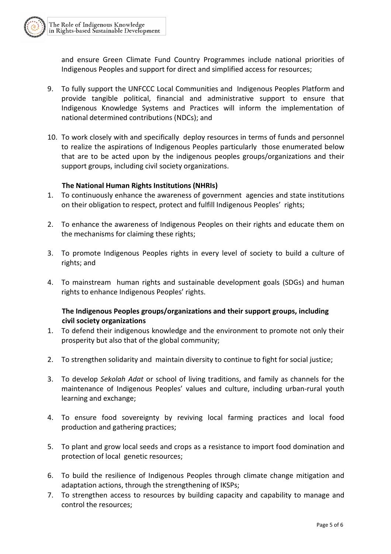and ensure Green Climate Fund Country Programmes include national priorities of Indigenous Peoples and support for direct and simplified access for resources;

- 9. To fully support the UNFCCC Local Communities and Indigenous Peoples Platform and provide tangible political, financial and administrative support to ensure that Indigenous Knowledge Systems and Practices will inform the implementation of national determined contributions (NDCs); and
- 10. To work closely with and specifically deploy resources in terms of funds and personnel to realize the aspirations of Indigenous Peoples particularly those enumerated below that are to be acted upon by the indigenous peoples groups/organizations and their support groups, including civil society organizations.

# **The National Human Rights Institutions (NHRIs)**

- 1. To continuously enhance the awareness of government agencies and state institutions on their obligation to respect, protect and fulfill Indigenous Peoples' rights;
- 2. To enhance the awareness of Indigenous Peoples on their rights and educate them on the mechanisms for claiming these rights;
- 3. To promote Indigenous Peoples rights in every level of society to build a culture of rights; and
- 4. To mainstream human rights and sustainable development goals (SDGs) and human rights to enhance Indigenous Peoples' rights.

# **The Indigenous Peoples groups/organizations and their support groups, including civil society organizations**

- 1. To defend their indigenous knowledge and the environment to promote not only their prosperity but also that of the global community;
- 2. To strengthen solidarity and maintain diversity to continue to fight for social justice;
- 3. To develop *Sekolah Adat* or school of living traditions, and family as channels for the maintenance of Indigenous Peoples' values and culture, including urban-rural youth learning and exchange;
- 4. To ensure food sovereignty by reviving local farming practices and local food production and gathering practices;
- 5. To plant and grow local seeds and crops as a resistance to import food domination and protection of local genetic resources;
- 6. To build the resilience of Indigenous Peoples through climate change mitigation and adaptation actions, through the strengthening of IKSPs;
- 7. To strengthen access to resources by building capacity and capability to manage and control the resources;